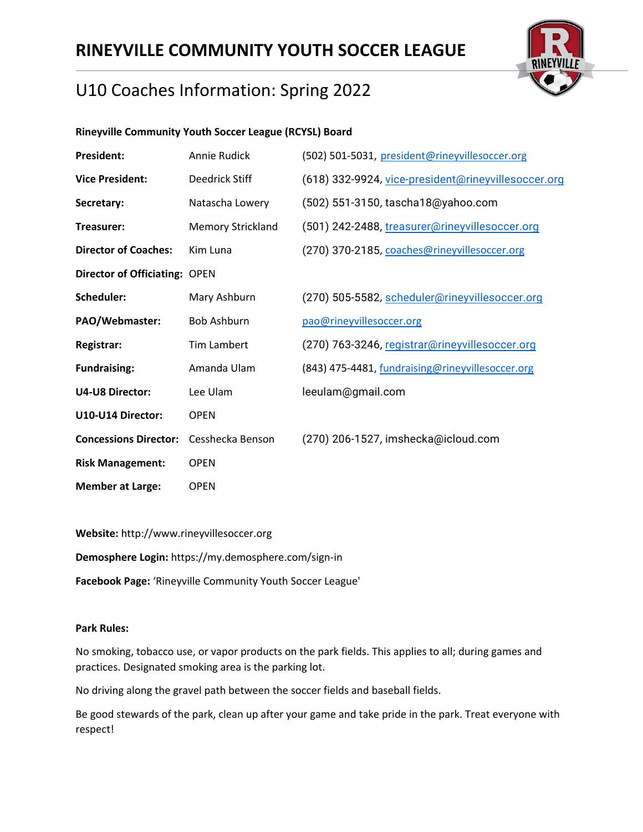

## U10 Coaches Information: Spring 2022

### **Rineyville Community Youth Soccer League (RCYSL) Board**

| <b>President:</b>                    | Annie Rudick             | (502) 501-5031, president@rineyvillesoccer.org      |
|--------------------------------------|--------------------------|-----------------------------------------------------|
| <b>Vice President:</b>               | Deedrick Stiff           | (618) 332-9924, vice-president@rineyvillesoccer.org |
| Secretary:                           | Natascha Lowery          | (502) 551-3150, tascha18@yahoo.com                  |
| Treasurer:                           | <b>Memory Strickland</b> | (501) 242-2488, treasurer@rineyvillesoccer.org      |
| <b>Director of Coaches:</b>          | Kim Luna                 | (270) 370-2185, coaches@rineyvillesoccer.org        |
| <b>Director of Officiating: OPEN</b> |                          |                                                     |
| Scheduler:                           | Mary Ashburn             | (270) 505-5582, scheduler@rineyvillesoccer.org      |
| PAO/Webmaster:                       | <b>Bob Ashburn</b>       | pao@rineyvillesoccer.org                            |
| Registrar:                           | Tim Lambert              | (270) 763-3246, registrar@rineyvillesoccer.org      |
| <b>Fundraising:</b>                  | Amanda Ulam              | (843) 475-4481, fundraising@rineyvillesoccer.org    |
| <b>U4-U8 Director:</b>               | Lee Ulam                 | leeulam@gmail.com                                   |
| U10-U14 Director:                    | <b>OPEN</b>              |                                                     |
| <b>Concessions Director:</b>         | Cesshecka Benson         | (270) 206-1527, imshecka@icloud.com                 |
| <b>Risk Management:</b>              | <b>OPEN</b>              |                                                     |
| <b>Member at Large:</b>              | <b>OPEN</b>              |                                                     |

**Website:** http://www.rineyvillesoccer.org **Demosphere Login:** https://my.demosphere.com/sign-in

**Facebook Page:** 'Rineyville Community Youth Soccer League'

#### **Park Rules:**

No smoking, tobacco use, or vapor products on the park fields. This applies to all; during games and practices. Designated smoking area is the parking lot.

No driving along the gravel path between the soccer fields and baseball fields.

Be good stewards of the park, clean up after your game and take pride in the park. Treat everyone with respect!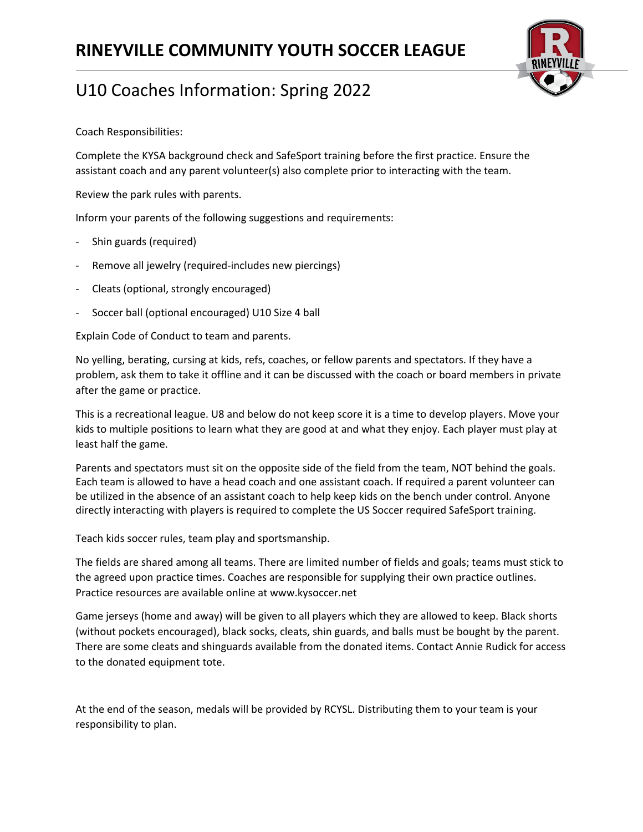

Coach Responsibilities:

Complete the KYSA background check and SafeSport training before the first practice. Ensure the assistant coach and any parent volunteer(s) also complete prior to interacting with the team.

Review the park rules with parents.

Inform your parents of the following suggestions and requirements:

- Shin guards (required)
- Remove all jewelry (required-includes new piercings)
- Cleats (optional, strongly encouraged)
- Soccer ball (optional encouraged) U10 Size 4 ball

Explain Code of Conduct to team and parents.

No yelling, berating, cursing at kids, refs, coaches, or fellow parents and spectators. If they have a problem, ask them to take it offline and it can be discussed with the coach or board members in private after the game or practice.

This is a recreational league. U8 and below do not keep score it is a time to develop players. Move your kids to multiple positions to learn what they are good at and what they enjoy. Each player must play at least half the game.

Parents and spectators must sit on the opposite side of the field from the team, NOT behind the goals. Each team is allowed to have a head coach and one assistant coach. If required a parent volunteer can be utilized in the absence of an assistant coach to help keep kids on the bench under control. Anyone directly interacting with players is required to complete the US Soccer required SafeSport training.

Teach kids soccer rules, team play and sportsmanship.

The fields are shared among all teams. There are limited number of fields and goals; teams must stick to the agreed upon practice times. Coaches are responsible for supplying their own practice outlines. Practice resources are available online at www.kysoccer.net

Game jerseys (home and away) will be given to all players which they are allowed to keep. Black shorts (without pockets encouraged), black socks, cleats, shin guards, and balls must be bought by the parent. There are some cleats and shinguards available from the donated items. Contact Annie Rudick for access to the donated equipment tote.

At the end of the season, medals will be provided by RCYSL. Distributing them to your team is your responsibility to plan.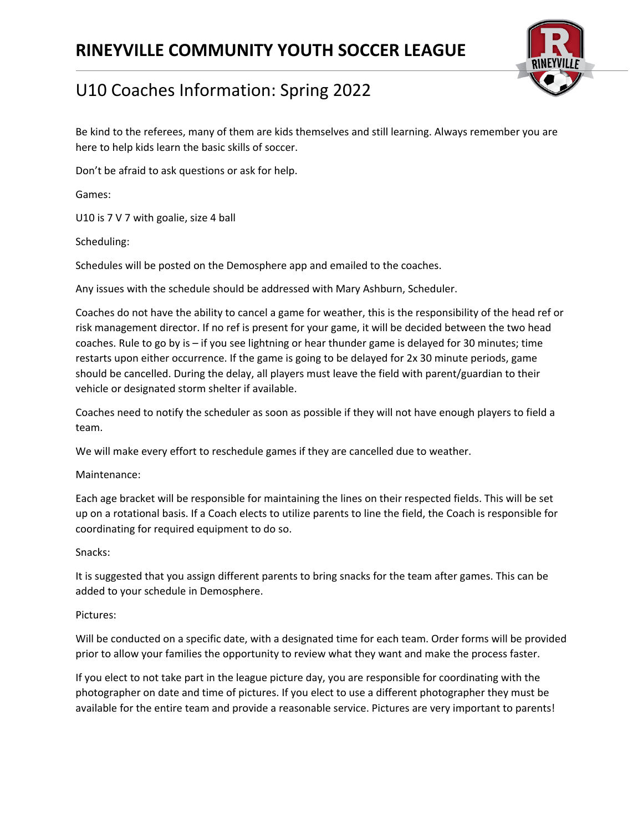

# U10 Coaches Information: Spring 2022

Be kind to the referees, many of them are kids themselves and still learning. Always remember you are here to help kids learn the basic skills of soccer.

Don't be afraid to ask questions or ask for help.

Games:

U10 is 7 V 7 with goalie, size 4 ball

Scheduling:

Schedules will be posted on the Demosphere app and emailed to the coaches.

Any issues with the schedule should be addressed with Mary Ashburn, Scheduler.

Coaches do not have the ability to cancel a game for weather, this is the responsibility of the head ref or risk management director. If no ref is present for your game, it will be decided between the two head coaches. Rule to go by is – if you see lightning or hear thunder game is delayed for 30 minutes; time restarts upon either occurrence. If the game is going to be delayed for 2x 30 minute periods, game should be cancelled. During the delay, all players must leave the field with parent/guardian to their vehicle or designated storm shelter if available.

Coaches need to notify the scheduler as soon as possible if they will not have enough players to field a team.

We will make every effort to reschedule games if they are cancelled due to weather.

#### Maintenance:

Each age bracket will be responsible for maintaining the lines on their respected fields. This will be set up on a rotational basis. If a Coach elects to utilize parents to line the field, the Coach is responsible for coordinating for required equipment to do so.

### Snacks:

It is suggested that you assign different parents to bring snacks for the team after games. This can be added to your schedule in Demosphere.

#### Pictures:

Will be conducted on a specific date, with a designated time for each team. Order forms will be provided prior to allow your families the opportunity to review what they want and make the process faster.

If you elect to not take part in the league picture day, you are responsible for coordinating with the photographer on date and time of pictures. If you elect to use a different photographer they must be available for the entire team and provide a reasonable service. Pictures are very important to parents!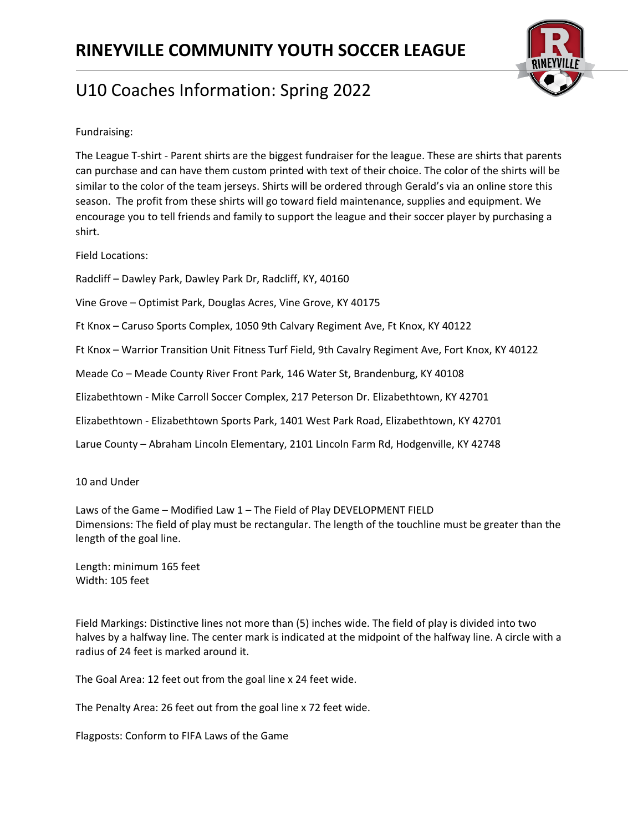

Fundraising:

The League T-shirt - Parent shirts are the biggest fundraiser for the league. These are shirts that parents can purchase and can have them custom printed with text of their choice. The color of the shirts will be similar to the color of the team jerseys. Shirts will be ordered through Gerald's via an online store this season. The profit from these shirts will go toward field maintenance, supplies and equipment. We encourage you to tell friends and family to support the league and their soccer player by purchasing a shirt.

Field Locations:

Radcliff – Dawley Park, Dawley Park Dr, Radcliff, KY, 40160

Vine Grove – Optimist Park, Douglas Acres, Vine Grove, KY 40175

Ft Knox – Caruso Sports Complex, 1050 9th Calvary Regiment Ave, Ft Knox, KY 40122

Ft Knox – Warrior Transition Unit Fitness Turf Field, 9th Cavalry Regiment Ave, Fort Knox, KY 40122

Meade Co – Meade County River Front Park, 146 Water St, Brandenburg, KY 40108

Elizabethtown - Mike Carroll Soccer Complex, 217 Peterson Dr. Elizabethtown, KY 42701

Elizabethtown - Elizabethtown Sports Park, 1401 West Park Road, Elizabethtown, KY 42701

Larue County – Abraham Lincoln Elementary, 2101 Lincoln Farm Rd, Hodgenville, KY 42748

10 and Under

Laws of the Game – Modified Law 1 – The Field of Play DEVELOPMENT FIELD Dimensions: The field of play must be rectangular. The length of the touchline must be greater than the length of the goal line.

Length: minimum 165 feet Width: 105 feet

Field Markings: Distinctive lines not more than (5) inches wide. The field of play is divided into two halves by a halfway line. The center mark is indicated at the midpoint of the halfway line. A circle with a radius of 24 feet is marked around it.

The Goal Area: 12 feet out from the goal line x 24 feet wide.

The Penalty Area: 26 feet out from the goal line x 72 feet wide.

Flagposts: Conform to FIFA Laws of the Game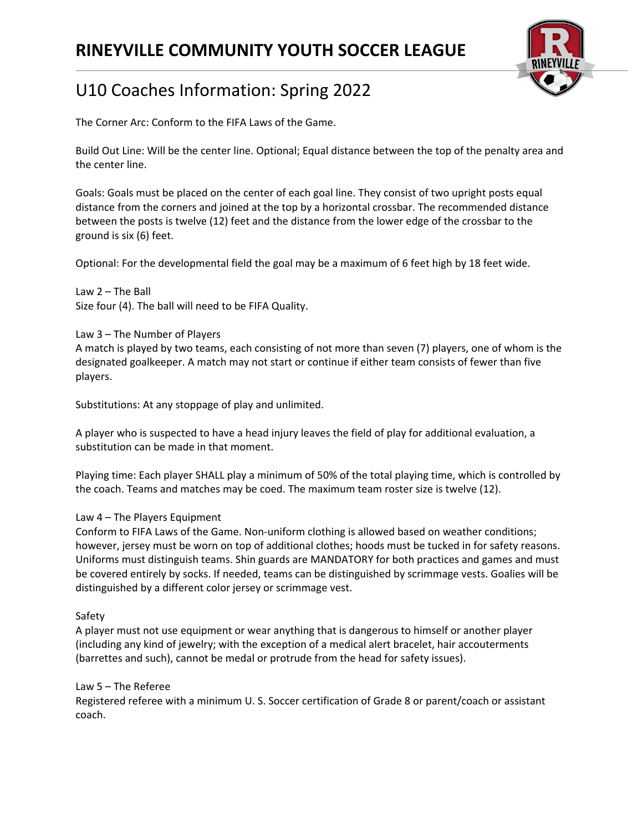

# U10 Coaches Information: Spring 2022

The Corner Arc: Conform to the FIFA Laws of the Game.

Build Out Line: Will be the center line. Optional; Equal distance between the top of the penalty area and the center line.

Goals: Goals must be placed on the center of each goal line. They consist of two upright posts equal distance from the corners and joined at the top by a horizontal crossbar. The recommended distance between the posts is twelve (12) feet and the distance from the lower edge of the crossbar to the ground is six (6) feet.

Optional: For the developmental field the goal may be a maximum of 6 feet high by 18 feet wide.

Law 2 – The Ball Size four (4). The ball will need to be FIFA Quality.

Law 3 – The Number of Players A match is played by two teams, each consisting of not more than seven (7) players, one of whom is the designated goalkeeper. A match may not start or continue if either team consists of fewer than five players.

Substitutions: At any stoppage of play and unlimited.

A player who is suspected to have a head injury leaves the field of play for additional evaluation, a substitution can be made in that moment.

Playing time: Each player SHALL play a minimum of 50% of the total playing time, which is controlled by the coach. Teams and matches may be coed. The maximum team roster size is twelve (12).

### Law 4 – The Players Equipment

Conform to FIFA Laws of the Game. Non-uniform clothing is allowed based on weather conditions; however, jersey must be worn on top of additional clothes; hoods must be tucked in for safety reasons. Uniforms must distinguish teams. Shin guards are MANDATORY for both practices and games and must be covered entirely by socks. If needed, teams can be distinguished by scrimmage vests. Goalies will be distinguished by a different color jersey or scrimmage vest.

#### Safety

A player must not use equipment or wear anything that is dangerous to himself or another player (including any kind of jewelry; with the exception of a medical alert bracelet, hair accouterments (barrettes and such), cannot be medal or protrude from the head for safety issues).

#### Law 5 – The Referee

Registered referee with a minimum U. S. Soccer certification of Grade 8 or parent/coach or assistant coach.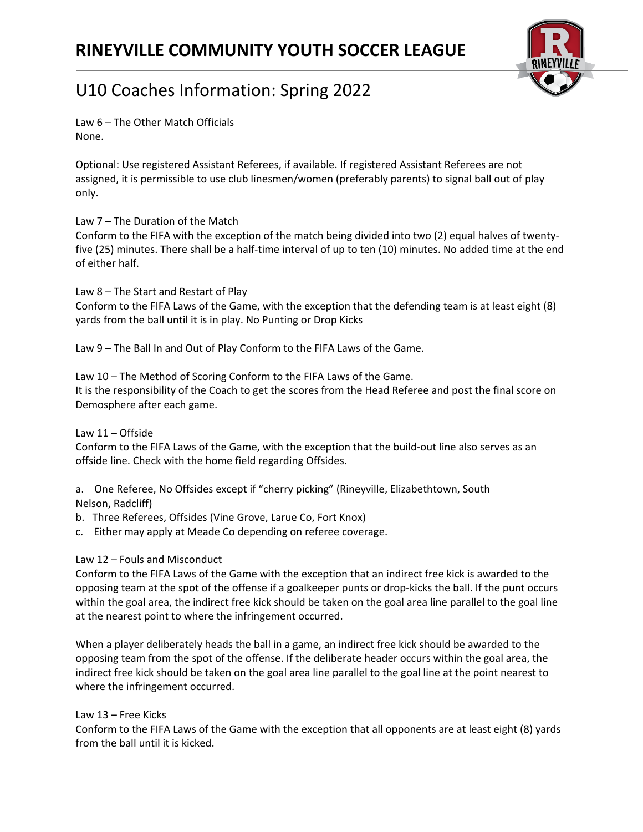

Law 6 – The Other Match Officials None.

Optional: Use registered Assistant Referees, if available. If registered Assistant Referees are not assigned, it is permissible to use club linesmen/women (preferably parents) to signal ball out of play only.

### Law 7 – The Duration of the Match

Conform to the FIFA with the exception of the match being divided into two (2) equal halves of twentyfive (25) minutes. There shall be a half-time interval of up to ten (10) minutes. No added time at the end of either half.

Law 8 – The Start and Restart of Play Conform to the FIFA Laws of the Game, with the exception that the defending team is at least eight (8) yards from the ball until it is in play. No Punting or Drop Kicks

Law 9 – The Ball In and Out of Play Conform to the FIFA Laws of the Game.

Law 10 – The Method of Scoring Conform to the FIFA Laws of the Game. It is the responsibility of the Coach to get the scores from the Head Referee and post the final score on Demosphere after each game.

### Law 11 – Offside

Conform to the FIFA Laws of the Game, with the exception that the build-out line also serves as an offside line. Check with the home field regarding Offsides.

a. One Referee, No Offsides except if "cherry picking" (Rineyville, Elizabethtown, South Nelson, Radcliff)

- b. Three Referees, Offsides (Vine Grove, Larue Co, Fort Knox)
- c. Either may apply at Meade Co depending on referee coverage.

### Law 12 – Fouls and Misconduct

Conform to the FIFA Laws of the Game with the exception that an indirect free kick is awarded to the opposing team at the spot of the offense if a goalkeeper punts or drop-kicks the ball. If the punt occurs within the goal area, the indirect free kick should be taken on the goal area line parallel to the goal line at the nearest point to where the infringement occurred.

When a player deliberately heads the ball in a game, an indirect free kick should be awarded to the opposing team from the spot of the offense. If the deliberate header occurs within the goal area, the indirect free kick should be taken on the goal area line parallel to the goal line at the point nearest to where the infringement occurred.

Law 13 – Free Kicks

Conform to the FIFA Laws of the Game with the exception that all opponents are at least eight (8) yards from the ball until it is kicked.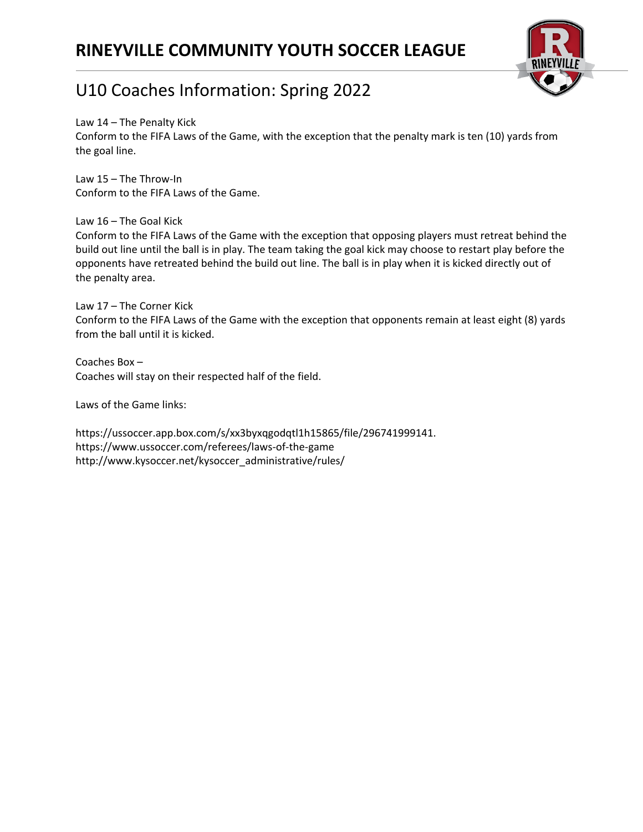

# U10 Coaches Information: Spring 2022

Law 14 – The Penalty Kick

Conform to the FIFA Laws of the Game, with the exception that the penalty mark is ten (10) yards from the goal line.

Law 15 – The Throw-In Conform to the FIFA Laws of the Game.

Law 16 – The Goal Kick

Conform to the FIFA Laws of the Game with the exception that opposing players must retreat behind the build out line until the ball is in play. The team taking the goal kick may choose to restart play before the opponents have retreated behind the build out line. The ball is in play when it is kicked directly out of the penalty area.

Law 17 – The Corner Kick Conform to the FIFA Laws of the Game with the exception that opponents remain at least eight (8) yards from the ball until it is kicked.

Coaches Box – Coaches will stay on their respected half of the field.

Laws of the Game links:

https://ussoccer.app.box.com/s/xx3byxqgodqtl1h15865/file/296741999141. https://www.ussoccer.com/referees/laws-of-the-game http://www.kysoccer.net/kysoccer\_administrative/rules/